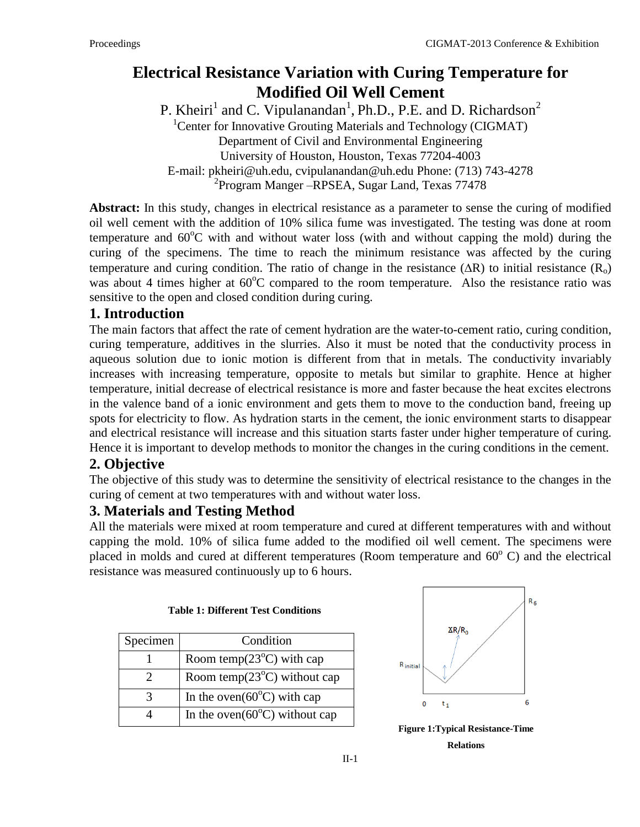# **Electrical Resistance Variation with Curing Temperature for Modified Oil Well Cement**

P. Kheiri<sup>1</sup> and C. Vipulanandan<sup>1</sup>, Ph.D., P.E. and D. Richardson<sup>2</sup> <sup>1</sup> Center for Innovative Grouting Materials and Technology (CIGMAT) Department of Civil and Environmental Engineering University of Houston, Houston, Texas 77204-4003 E-mail: [pkheiri@uh.edu,](mailto:pkheiri@uh.edu) cvipulanandan@uh.edu Phone: (713) 743-4278 2 Program Manger –RPSEA, Sugar Land, Texas 77478

**Abstract:** In this study, changes in electrical resistance as a parameter to sense the curing of modified oil well cement with the addition of 10% silica fume was investigated. The testing was done at room temperature and  $60^{\circ}$ C with and without water loss (with and without capping the mold) during the curing of the specimens. The time to reach the minimum resistance was affected by the curing temperature and curing condition. The ratio of change in the resistance  $(AR)$  to initial resistance  $(R_0)$ was about 4 times higher at  $60^{\circ}$ C compared to the room temperature. Also the resistance ratio was sensitive to the open and closed condition during curing.

#### **1. Introduction**

The main factors that affect the rate of cement hydration are the water-to-cement ratio, curing condition, curing temperature, additives in the slurries. Also it must be noted that the conductivity process in aqueous solution due to ionic motion is different from that in metals. The conductivity invariably increases with increasing temperature, opposite to metals but similar to graphite. Hence at higher temperature, initial decrease of electrical resistance is more and faster because the heat excites electrons in the valence band of a ionic environment and gets them to move to the conduction band, freeing up spots for electricity to flow. As hydration starts in the cement, the ionic environment starts to disappear and electrical resistance will increase and this situation starts faster under higher temperature of curing. Hence it is important to develop methods to monitor the changes in the curing conditions in the cement.

# **2. Objective**

The objective of this study was to determine the sensitivity of electrical resistance to the changes in the curing of cement at two temperatures with and without water loss.

# **3. Materials and Testing Method**

All the materials were mixed at room temperature and cured at different temperatures with and without capping the mold. 10% of silica fume added to the modified oil well cement. The specimens were placed in molds and cured at different temperatures (Room temperature and  $60^{\circ}$  C) and the electrical resistance was measured continuously up to 6 hours.

| Specimen | Condition                               |
|----------|-----------------------------------------|
|          | Room temp $(23^{\circ}C)$ with cap      |
|          | Room temp $(23^{\circ}C)$ without cap   |
| 3        | In the oven $(60^{\circ}C)$ with cap    |
|          | In the oven $(60^{\circ}C)$ without cap |

**Table 1: Different Test Conditions**



**Figure 1:Typical Resistance-Time Relations**